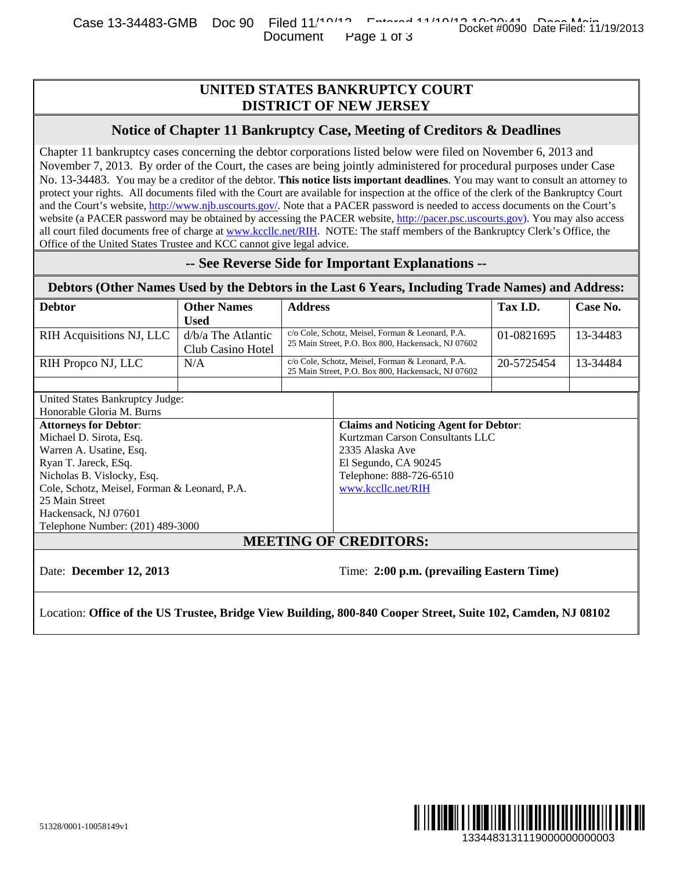# **UNITED STATES BANKRUPTCY COURT DISTRICT OF NEW JERSEY**

### **Notice of Chapter 11 Bankruptcy Case, Meeting of Creditors & Deadlines**

### **-- See Reverse Side for Important Explanations --**

|                                                                                                                                                                                                                                        |                                         |                                                                                                                             | UNITED STATES BANKRUPTCY COURT<br><b>DISTRICT OF NEW JERSEY</b>                                                                                                                                                                                                                                                                                                                                                                                                                                                                                                                                                                                                                                                                                                                                                                                                                                                           |            |          |
|----------------------------------------------------------------------------------------------------------------------------------------------------------------------------------------------------------------------------------------|-----------------------------------------|-----------------------------------------------------------------------------------------------------------------------------|---------------------------------------------------------------------------------------------------------------------------------------------------------------------------------------------------------------------------------------------------------------------------------------------------------------------------------------------------------------------------------------------------------------------------------------------------------------------------------------------------------------------------------------------------------------------------------------------------------------------------------------------------------------------------------------------------------------------------------------------------------------------------------------------------------------------------------------------------------------------------------------------------------------------------|------------|----------|
|                                                                                                                                                                                                                                        |                                         |                                                                                                                             | Notice of Chapter 11 Bankruptcy Case, Meeting of Creditors & Deadlines                                                                                                                                                                                                                                                                                                                                                                                                                                                                                                                                                                                                                                                                                                                                                                                                                                                    |            |          |
| Office of the United States Trustee and KCC cannot give legal advice.                                                                                                                                                                  |                                         |                                                                                                                             | Chapter 11 bankruptcy cases concerning the debtor corporations listed below were filed on November 6, 2013 and<br>November 7, 2013. By order of the Court, the cases are being jointly administered for procedural purposes under Case<br>No. 13-34483. You may be a creditor of the debtor. This notice lists important deadlines. You may want to consult an attorney to<br>protect your rights. All documents filed with the Court are available for inspection at the office of the clerk of the Bankruptcy Court<br>and the Court's website, http://www.njb.uscourts.gov/. Note that a PACER password is needed to access documents on the Court's<br>website (a PACER password may be obtained by accessing the PACER website, http://pacer.psc.uscourts.gov). You may also access<br>all court filed documents free of charge at www.kccllc.net/RIH. NOTE: The staff members of the Bankruptcy Clerk's Office, the |            |          |
|                                                                                                                                                                                                                                        |                                         |                                                                                                                             | -- See Reverse Side for Important Explanations --                                                                                                                                                                                                                                                                                                                                                                                                                                                                                                                                                                                                                                                                                                                                                                                                                                                                         |            |          |
|                                                                                                                                                                                                                                        |                                         |                                                                                                                             | Debtors (Other Names Used by the Debtors in the Last 6 Years, Including Trade Names) and Address:                                                                                                                                                                                                                                                                                                                                                                                                                                                                                                                                                                                                                                                                                                                                                                                                                         |            |          |
| <b>Debtor</b>                                                                                                                                                                                                                          | <b>Other Names</b><br><b>Used</b>       | <b>Address</b>                                                                                                              |                                                                                                                                                                                                                                                                                                                                                                                                                                                                                                                                                                                                                                                                                                                                                                                                                                                                                                                           | Tax I.D.   | Case No. |
| RIH Acquisitions NJ, LLC                                                                                                                                                                                                               | d/b/a The Atlantic<br>Club Casino Hotel |                                                                                                                             | c/o Cole, Schotz, Meisel, Forman & Leonard, P.A.<br>25 Main Street, P.O. Box 800, Hackensack, NJ 07602                                                                                                                                                                                                                                                                                                                                                                                                                                                                                                                                                                                                                                                                                                                                                                                                                    | 01-0821695 | 13-34483 |
| RIH Propco NJ, LLC                                                                                                                                                                                                                     | N/A                                     |                                                                                                                             | c/o Cole, Schotz, Meisel, Forman & Leonard, P.A.<br>25 Main Street, P.O. Box 800, Hackensack, NJ 07602                                                                                                                                                                                                                                                                                                                                                                                                                                                                                                                                                                                                                                                                                                                                                                                                                    | 20-5725454 | 13-34484 |
| United States Bankruptcy Judge:                                                                                                                                                                                                        |                                         |                                                                                                                             |                                                                                                                                                                                                                                                                                                                                                                                                                                                                                                                                                                                                                                                                                                                                                                                                                                                                                                                           |            |          |
| Honorable Gloria M. Burns<br><b>Attorneys for Debtor:</b>                                                                                                                                                                              |                                         |                                                                                                                             | <b>Claims and Noticing Agent for Debtor:</b>                                                                                                                                                                                                                                                                                                                                                                                                                                                                                                                                                                                                                                                                                                                                                                                                                                                                              |            |          |
| Michael D. Sirota, Esq.<br>Warren A. Usatine, Esq.<br>Ryan T. Jareck, ESq.<br>Nicholas B. Vislocky, Esq.<br>Cole, Schotz, Meisel, Forman & Leonard, P.A.<br>25 Main Street<br>Hackensack, NJ 07601<br>Telephone Number: (201) 489-3000 |                                         | Kurtzman Carson Consultants LLC<br>2335 Alaska Ave<br>El Segundo, CA 90245<br>Telephone: 888-726-6510<br>www.kccllc.net/RIH |                                                                                                                                                                                                                                                                                                                                                                                                                                                                                                                                                                                                                                                                                                                                                                                                                                                                                                                           |            |          |
|                                                                                                                                                                                                                                        |                                         |                                                                                                                             | <b>MEETING OF CREDITORS:</b>                                                                                                                                                                                                                                                                                                                                                                                                                                                                                                                                                                                                                                                                                                                                                                                                                                                                                              |            |          |
| Date: December 12, 2013                                                                                                                                                                                                                |                                         |                                                                                                                             | Time: 2:00 p.m. (prevailing Eastern Time)                                                                                                                                                                                                                                                                                                                                                                                                                                                                                                                                                                                                                                                                                                                                                                                                                                                                                 |            |          |
|                                                                                                                                                                                                                                        |                                         |                                                                                                                             | Location: Office of the US Trustee, Bridge View Building, 800-840 Cooper Street, Suite 102, Camden, NJ 08102                                                                                                                                                                                                                                                                                                                                                                                                                                                                                                                                                                                                                                                                                                                                                                                                              |            |          |
|                                                                                                                                                                                                                                        |                                         |                                                                                                                             |                                                                                                                                                                                                                                                                                                                                                                                                                                                                                                                                                                                                                                                                                                                                                                                                                                                                                                                           |            |          |
|                                                                                                                                                                                                                                        |                                         |                                                                                                                             |                                                                                                                                                                                                                                                                                                                                                                                                                                                                                                                                                                                                                                                                                                                                                                                                                                                                                                                           |            |          |
|                                                                                                                                                                                                                                        |                                         |                                                                                                                             |                                                                                                                                                                                                                                                                                                                                                                                                                                                                                                                                                                                                                                                                                                                                                                                                                                                                                                                           |            |          |
|                                                                                                                                                                                                                                        |                                         |                                                                                                                             |                                                                                                                                                                                                                                                                                                                                                                                                                                                                                                                                                                                                                                                                                                                                                                                                                                                                                                                           |            |          |
|                                                                                                                                                                                                                                        |                                         |                                                                                                                             |                                                                                                                                                                                                                                                                                                                                                                                                                                                                                                                                                                                                                                                                                                                                                                                                                                                                                                                           |            | WW       |

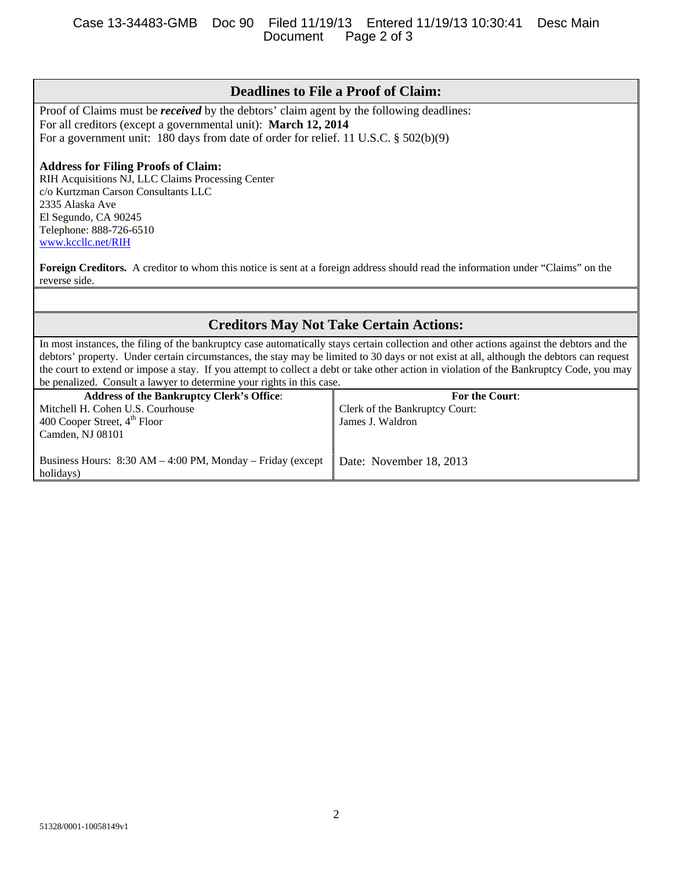### Case 13-34483-GMB Doc 90 Filed 11/19/13 Entered 11/19/13 10:30:41 Desc Main Document

Proof of Claims must be *received* by the debtors' claim agent by the following deadlines: For all creditors (except a governmental unit): **March 12, 2014** For a government unit: 180 days from date of order for relief. 11 U.S.C. § 502(b)(9)

### **Address for Filing Proofs of Claim:**

RIH Acquisitions NJ, LLC Claims Processing Center c/o Kurtzman Carson Consultants LLC 2335 Alaska Ave El Segundo, CA 90245 Telephone: 888-726-6510 www.kccllc.net/RIH

**Foreign Creditors.** A creditor to whom this notice is sent at a foreign address should read the information under "Claims" on the reverse side.

## **Creditors May Not Take Certain Actions:**

In most instances, the filing of the bankruptcy case automatically stays certain collection and other actions against the debtors and the debtors' property. Under certain circumstances, the stay may be limited to 30 days or not exist at all, although the debtors can request the court to extend or impose a stay. If you attempt to collect a debt or take other action in violation of the Bankruptcy Code, you may be penalized. Consult a lawyer to determine your rights in this case.

| <b>Address of the Bankruptcy Clerk's Office:</b>              | <b>For the Court:</b>          |
|---------------------------------------------------------------|--------------------------------|
| Mitchell H. Cohen U.S. Courhouse                              | Clerk of the Bankruptcy Court: |
| 400 Cooper Street, 4 <sup>th</sup> Floor                      | James J. Waldron               |
| Camden, NJ 08101                                              |                                |
|                                                               |                                |
| Business Hours: $8:30 AM - 4:00 PM$ , Monday – Friday (except | Date: November 18, 2013        |
| holidays)                                                     |                                |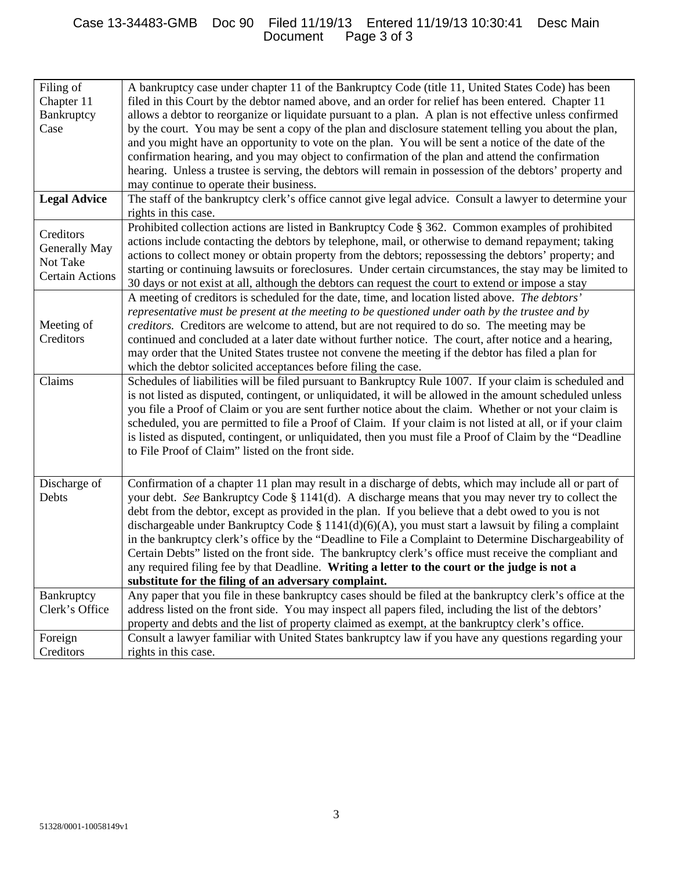### Case 13-34483-GMB Doc 90 Filed 11/19/13 Entered 11/19/13 10:30:41 Desc Main Document Page 3 of 3

| Filing of<br>Chapter 11<br>Bankruptcy | A bankruptcy case under chapter 11 of the Bankruptcy Code (title 11, United States Code) has been<br>filed in this Court by the debtor named above, and an order for relief has been entered. Chapter 11<br>allows a debtor to reorganize or liquidate pursuant to a plan. A plan is not effective unless confirmed |
|---------------------------------------|---------------------------------------------------------------------------------------------------------------------------------------------------------------------------------------------------------------------------------------------------------------------------------------------------------------------|
| Case                                  |                                                                                                                                                                                                                                                                                                                     |
|                                       | by the court. You may be sent a copy of the plan and disclosure statement telling you about the plan,                                                                                                                                                                                                               |
|                                       | and you might have an opportunity to vote on the plan. You will be sent a notice of the date of the                                                                                                                                                                                                                 |
|                                       | confirmation hearing, and you may object to confirmation of the plan and attend the confirmation                                                                                                                                                                                                                    |
|                                       | hearing. Unless a trustee is serving, the debtors will remain in possession of the debtors' property and                                                                                                                                                                                                            |
|                                       | may continue to operate their business.                                                                                                                                                                                                                                                                             |
| <b>Legal Advice</b>                   | The staff of the bankruptcy clerk's office cannot give legal advice. Consult a lawyer to determine your<br>rights in this case.                                                                                                                                                                                     |
| Creditors                             | Prohibited collection actions are listed in Bankruptcy Code § 362. Common examples of prohibited                                                                                                                                                                                                                    |
|                                       | actions include contacting the debtors by telephone, mail, or otherwise to demand repayment; taking                                                                                                                                                                                                                 |
| Generally May                         | actions to collect money or obtain property from the debtors; repossessing the debtors' property; and                                                                                                                                                                                                               |
| Not Take                              | starting or continuing lawsuits or foreclosures. Under certain circumstances, the stay may be limited to                                                                                                                                                                                                            |
| <b>Certain Actions</b>                | 30 days or not exist at all, although the debtors can request the court to extend or impose a stay                                                                                                                                                                                                                  |
|                                       | A meeting of creditors is scheduled for the date, time, and location listed above. The debtors'                                                                                                                                                                                                                     |
|                                       | representative must be present at the meeting to be questioned under oath by the trustee and by                                                                                                                                                                                                                     |
| Meeting of                            | creditors. Creditors are welcome to attend, but are not required to do so. The meeting may be                                                                                                                                                                                                                       |
| Creditors                             | continued and concluded at a later date without further notice. The court, after notice and a hearing,                                                                                                                                                                                                              |
|                                       | may order that the United States trustee not convene the meeting if the debtor has filed a plan for                                                                                                                                                                                                                 |
|                                       | which the debtor solicited acceptances before filing the case.                                                                                                                                                                                                                                                      |
| Claims                                | Schedules of liabilities will be filed pursuant to Bankruptcy Rule 1007. If your claim is scheduled and                                                                                                                                                                                                             |
|                                       | is not listed as disputed, contingent, or unliquidated, it will be allowed in the amount scheduled unless                                                                                                                                                                                                           |
|                                       | you file a Proof of Claim or you are sent further notice about the claim. Whether or not your claim is                                                                                                                                                                                                              |
|                                       | scheduled, you are permitted to file a Proof of Claim. If your claim is not listed at all, or if your claim                                                                                                                                                                                                         |
|                                       | is listed as disputed, contingent, or unliquidated, then you must file a Proof of Claim by the "Deadline                                                                                                                                                                                                            |
|                                       | to File Proof of Claim" listed on the front side.                                                                                                                                                                                                                                                                   |
|                                       |                                                                                                                                                                                                                                                                                                                     |
| Discharge of                          | Confirmation of a chapter 11 plan may result in a discharge of debts, which may include all or part of                                                                                                                                                                                                              |
| Debts                                 | your debt. See Bankruptcy Code § 1141(d). A discharge means that you may never try to collect the                                                                                                                                                                                                                   |
|                                       | debt from the debtor, except as provided in the plan. If you believe that a debt owed to you is not                                                                                                                                                                                                                 |
|                                       | dischargeable under Bankruptcy Code § 1141(d)(6)(A), you must start a lawsuit by filing a complaint                                                                                                                                                                                                                 |
|                                       | in the bankruptcy clerk's office by the "Deadline to File a Complaint to Determine Dischargeability of                                                                                                                                                                                                              |
|                                       | Certain Debts" listed on the front side. The bankruptcy clerk's office must receive the compliant and                                                                                                                                                                                                               |
|                                       | any required filing fee by that Deadline. Writing a letter to the court or the judge is not a                                                                                                                                                                                                                       |
|                                       | substitute for the filing of an adversary complaint.                                                                                                                                                                                                                                                                |
| Bankruptcy                            | Any paper that you file in these bankruptcy cases should be filed at the bankruptcy clerk's office at the                                                                                                                                                                                                           |
| Clerk's Office                        | address listed on the front side. You may inspect all papers filed, including the list of the debtors'                                                                                                                                                                                                              |
|                                       | property and debts and the list of property claimed as exempt, at the bankruptcy clerk's office.                                                                                                                                                                                                                    |
|                                       |                                                                                                                                                                                                                                                                                                                     |
| Foreign                               | Consult a lawyer familiar with United States bankruptcy law if you have any questions regarding your                                                                                                                                                                                                                |
| Creditors                             | rights in this case.                                                                                                                                                                                                                                                                                                |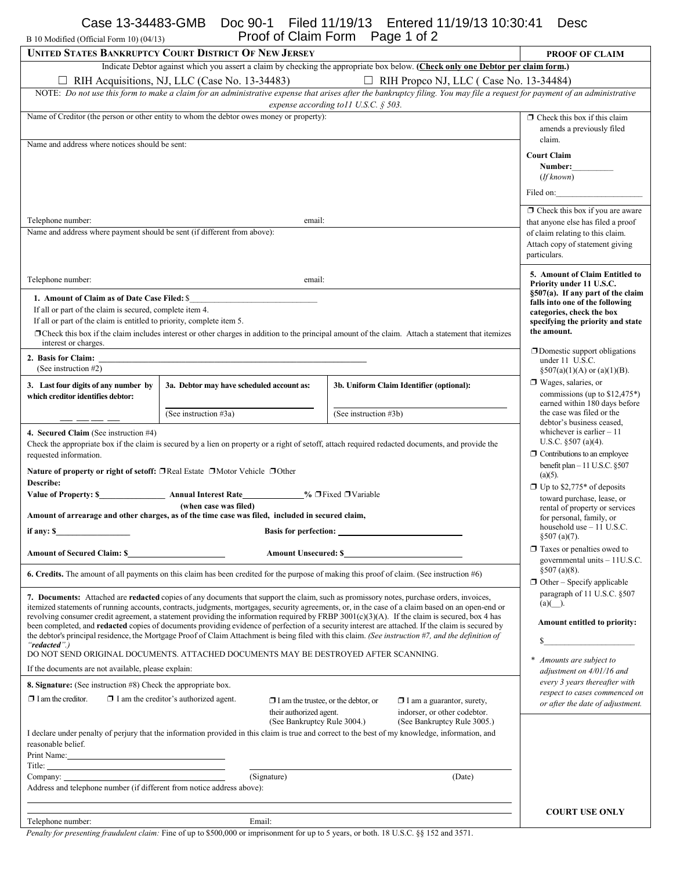B 10 Modified (Official Form 10) (04/13)

Case 13-34483-GMB Doc 90-1 Filed 11/19/13 Entered 11/19/13 10:30:41 Desc Proof of Claim Form Page 1 of 2

| B 10 Modified (Official Form 10) (04/13)<br>FIGUI OI CIAINTEUNTE FAGE 1 OF Z                                                                                                                                                                                                                                        |                                                                                                  |                                                                                                                                                          |                                                                      |  |  |
|---------------------------------------------------------------------------------------------------------------------------------------------------------------------------------------------------------------------------------------------------------------------------------------------------------------------|--------------------------------------------------------------------------------------------------|----------------------------------------------------------------------------------------------------------------------------------------------------------|----------------------------------------------------------------------|--|--|
|                                                                                                                                                                                                                                                                                                                     | <b>UNITED STATES BANKRUPTCY COURT DISTRICT OF NEW JERSEY</b>                                     |                                                                                                                                                          | <b>PROOF OF CLAIM</b>                                                |  |  |
| Indicate Debtor against which you assert a claim by checking the appropriate box below. (Check only one Debtor per claim form.)                                                                                                                                                                                     |                                                                                                  |                                                                                                                                                          |                                                                      |  |  |
| □ RIH Acquisitions, NJ, LLC (Case No. 13-34483)<br>$\Box$ RIH Propco NJ, LLC (Case No. 13-34484)<br>NOTE: Do not use this form to make a claim for an administrative expense that arises after the bankruptcy filing. You may file a request for payment of an administrative                                       |                                                                                                  |                                                                                                                                                          |                                                                      |  |  |
|                                                                                                                                                                                                                                                                                                                     |                                                                                                  | expense according to 11 U.S.C. $\S$ 503.                                                                                                                 |                                                                      |  |  |
|                                                                                                                                                                                                                                                                                                                     | Name of Creditor (the person or other entity to whom the debtor owes money or property):         |                                                                                                                                                          | $\Box$ Check this box if this claim                                  |  |  |
|                                                                                                                                                                                                                                                                                                                     |                                                                                                  |                                                                                                                                                          | amends a previously filed                                            |  |  |
| Name and address where notices should be sent:                                                                                                                                                                                                                                                                      | claim.                                                                                           |                                                                                                                                                          |                                                                      |  |  |
|                                                                                                                                                                                                                                                                                                                     | <b>Court Claim</b><br>Number:                                                                    |                                                                                                                                                          |                                                                      |  |  |
|                                                                                                                                                                                                                                                                                                                     |                                                                                                  |                                                                                                                                                          | (If known)                                                           |  |  |
|                                                                                                                                                                                                                                                                                                                     |                                                                                                  |                                                                                                                                                          | Filed on:                                                            |  |  |
|                                                                                                                                                                                                                                                                                                                     |                                                                                                  |                                                                                                                                                          | $\Box$ Check this box if you are aware                               |  |  |
| Telephone number:                                                                                                                                                                                                                                                                                                   | email:                                                                                           |                                                                                                                                                          | that anyone else has filed a proof                                   |  |  |
| Name and address where payment should be sent (if different from above):                                                                                                                                                                                                                                            |                                                                                                  |                                                                                                                                                          | of claim relating to this claim.                                     |  |  |
|                                                                                                                                                                                                                                                                                                                     |                                                                                                  |                                                                                                                                                          | Attach copy of statement giving<br>particulars.                      |  |  |
|                                                                                                                                                                                                                                                                                                                     |                                                                                                  |                                                                                                                                                          |                                                                      |  |  |
| Telephone number:                                                                                                                                                                                                                                                                                                   | email:                                                                                           |                                                                                                                                                          | 5. Amount of Claim Entitled to<br>Priority under 11 U.S.C.           |  |  |
| 1. Amount of Claim as of Date Case Filed: \$                                                                                                                                                                                                                                                                        |                                                                                                  |                                                                                                                                                          | §507(a). If any part of the claim<br>falls into one of the following |  |  |
| If all or part of the claim is secured, complete item 4.                                                                                                                                                                                                                                                            |                                                                                                  |                                                                                                                                                          | categories, check the box                                            |  |  |
| If all or part of the claim is entitled to priority, complete item 5.                                                                                                                                                                                                                                               |                                                                                                  |                                                                                                                                                          | specifying the priority and state<br>the amount.                     |  |  |
| interest or charges.                                                                                                                                                                                                                                                                                                |                                                                                                  | $\Box$ Check this box if the claim includes interest or other charges in addition to the principal amount of the claim. Attach a statement that itemizes |                                                                      |  |  |
| 2. Basis for Claim:                                                                                                                                                                                                                                                                                                 |                                                                                                  |                                                                                                                                                          | $\Box$ Domestic support obligations<br>under 11 U.S.C.               |  |  |
| (See instruction #2)                                                                                                                                                                                                                                                                                                |                                                                                                  |                                                                                                                                                          | $\S507(a)(1)(A)$ or $(a)(1)(B)$ .                                    |  |  |
| 3. Last four digits of any number by                                                                                                                                                                                                                                                                                | 3a. Debtor may have scheduled account as:                                                        | 3b. Uniform Claim Identifier (optional):                                                                                                                 | $\Box$ Wages, salaries, or                                           |  |  |
| which creditor identifies debtor:                                                                                                                                                                                                                                                                                   |                                                                                                  |                                                                                                                                                          | commissions (up to $$12,475^*$ )<br>earned within 180 days before    |  |  |
|                                                                                                                                                                                                                                                                                                                     | (See instruction #3a)                                                                            | (See instruction #3b)                                                                                                                                    | the case was filed or the                                            |  |  |
| 4. Secured Claim (See instruction #4)                                                                                                                                                                                                                                                                               | debtor's business ceased.<br>whichever is earlier $-11$                                          |                                                                                                                                                          |                                                                      |  |  |
| Check the appropriate box if the claim is secured by a lien on property or a right of setoff, attach required redacted documents, and provide the                                                                                                                                                                   | U.S.C. $§507$ (a)(4).                                                                            |                                                                                                                                                          |                                                                      |  |  |
| requested information.                                                                                                                                                                                                                                                                                              | $\Box$ Contributions to an employee<br>benefit plan - 11 U.S.C. §507                             |                                                                                                                                                          |                                                                      |  |  |
| Nature of property or right of setoff: □ Real Estate □ Motor Vehicle □ Other<br>$(a)(5)$ .                                                                                                                                                                                                                          |                                                                                                  |                                                                                                                                                          |                                                                      |  |  |
| Describe:<br>Value of Property: \$ Annual Interest Rate ___________% □ Fixed □ Variable                                                                                                                                                                                                                             | $\Box$ Up to \$2,775* of deposits                                                                |                                                                                                                                                          |                                                                      |  |  |
|                                                                                                                                                                                                                                                                                                                     | toward purchase, lease, or<br>rental of property or services                                     |                                                                                                                                                          |                                                                      |  |  |
|                                                                                                                                                                                                                                                                                                                     | Amount of arrearage and other charges, as of the time case was filed, included in secured claim, |                                                                                                                                                          | for personal, family, or<br>household use $-11$ U.S.C.               |  |  |
| if any: \$                                                                                                                                                                                                                                                                                                          | <b>Basis for perfection:</b>                                                                     |                                                                                                                                                          | $$507(a)(7)$ .                                                       |  |  |
| <b>Amount of Secured Claim: \$_</b>                                                                                                                                                                                                                                                                                 |                                                                                                  | <b>Amount Unsecured: \$</b>                                                                                                                              | $\Box$ Taxes or penalties owed to                                    |  |  |
|                                                                                                                                                                                                                                                                                                                     |                                                                                                  | 6. Credits. The amount of all payments on this claim has been credited for the purpose of making this proof of claim. (See instruction #6)               | governmental units $-11U.S.C.$<br>$§507$ (a)(8).                     |  |  |
|                                                                                                                                                                                                                                                                                                                     |                                                                                                  |                                                                                                                                                          | $\Box$ Other – Specify applicable                                    |  |  |
|                                                                                                                                                                                                                                                                                                                     |                                                                                                  | 7. Documents: Attached are redacted copies of any documents that support the claim, such as promissory notes, purchase orders, invoices,                 | paragraph of 11 U.S.C. §507                                          |  |  |
| $(a)( )$ .<br>itemized statements of running accounts, contracts, judgments, mortgages, security agreements, or, in the case of a claim based on an open-end or<br>revolving consumer credit agreement, a statement providing the information required by FRBP $3001(c)(3)(A)$ . If the claim is secured, box 4 has |                                                                                                  |                                                                                                                                                          |                                                                      |  |  |
| Amount entitled to priority:<br>been completed, and <b>redacted</b> copies of documents providing evidence of perfection of a security interest are attached. If the claim is secured by                                                                                                                            |                                                                                                  |                                                                                                                                                          |                                                                      |  |  |
| the debtor's principal residence, the Mortgage Proof of Claim Attachment is being filed with this claim. (See instruction #7, and the definition of<br>S.<br>"redacted".)                                                                                                                                           |                                                                                                  |                                                                                                                                                          |                                                                      |  |  |
| DO NOT SEND ORIGINAL DOCUMENTS. ATTACHED DOCUMENTS MAY BE DESTROYED AFTER SCANNING.<br>Amounts are subject to                                                                                                                                                                                                       |                                                                                                  |                                                                                                                                                          |                                                                      |  |  |
| If the documents are not available, please explain:<br>adjustment on 4/01/16 and                                                                                                                                                                                                                                    |                                                                                                  |                                                                                                                                                          |                                                                      |  |  |
| every 3 years thereafter with<br>8. Signature: (See instruction #8) Check the appropriate box.<br>respect to cases commenced on                                                                                                                                                                                     |                                                                                                  |                                                                                                                                                          |                                                                      |  |  |
| $\Box$ I am the creditor.<br>$\Box$ I am the creditor's authorized agent.<br>$\Box$ I am the trustee, or the debtor, or<br>$\Box$ I am a guarantor, surety,<br>or after the date of adjustment.                                                                                                                     |                                                                                                  |                                                                                                                                                          |                                                                      |  |  |
| indorser, or other codebtor.<br>their authorized agent.<br>(See Bankruptcy Rule 3004.)<br>(See Bankruptcy Rule 3005.)                                                                                                                                                                                               |                                                                                                  |                                                                                                                                                          |                                                                      |  |  |
| I declare under penalty of perjury that the information provided in this claim is true and correct to the best of my knowledge, information, and                                                                                                                                                                    |                                                                                                  |                                                                                                                                                          |                                                                      |  |  |
| reasonable belief.<br>Print Name: 1988                                                                                                                                                                                                                                                                              |                                                                                                  |                                                                                                                                                          |                                                                      |  |  |
|                                                                                                                                                                                                                                                                                                                     |                                                                                                  |                                                                                                                                                          |                                                                      |  |  |
| (Signature)<br>Company:<br>(Date)                                                                                                                                                                                                                                                                                   |                                                                                                  |                                                                                                                                                          |                                                                      |  |  |
| Address and telephone number (if different from notice address above):                                                                                                                                                                                                                                              |                                                                                                  |                                                                                                                                                          |                                                                      |  |  |
|                                                                                                                                                                                                                                                                                                                     |                                                                                                  |                                                                                                                                                          | <b>COURT USE ONLY</b>                                                |  |  |
| Telephone number:                                                                                                                                                                                                                                                                                                   | Email:                                                                                           |                                                                                                                                                          |                                                                      |  |  |

*Penalty for presenting fraudulent claim:* Fine of up to \$500,000 or imprisonment for up to 5 years, or both. 18 U.S.C. §§ 152 and 3571.